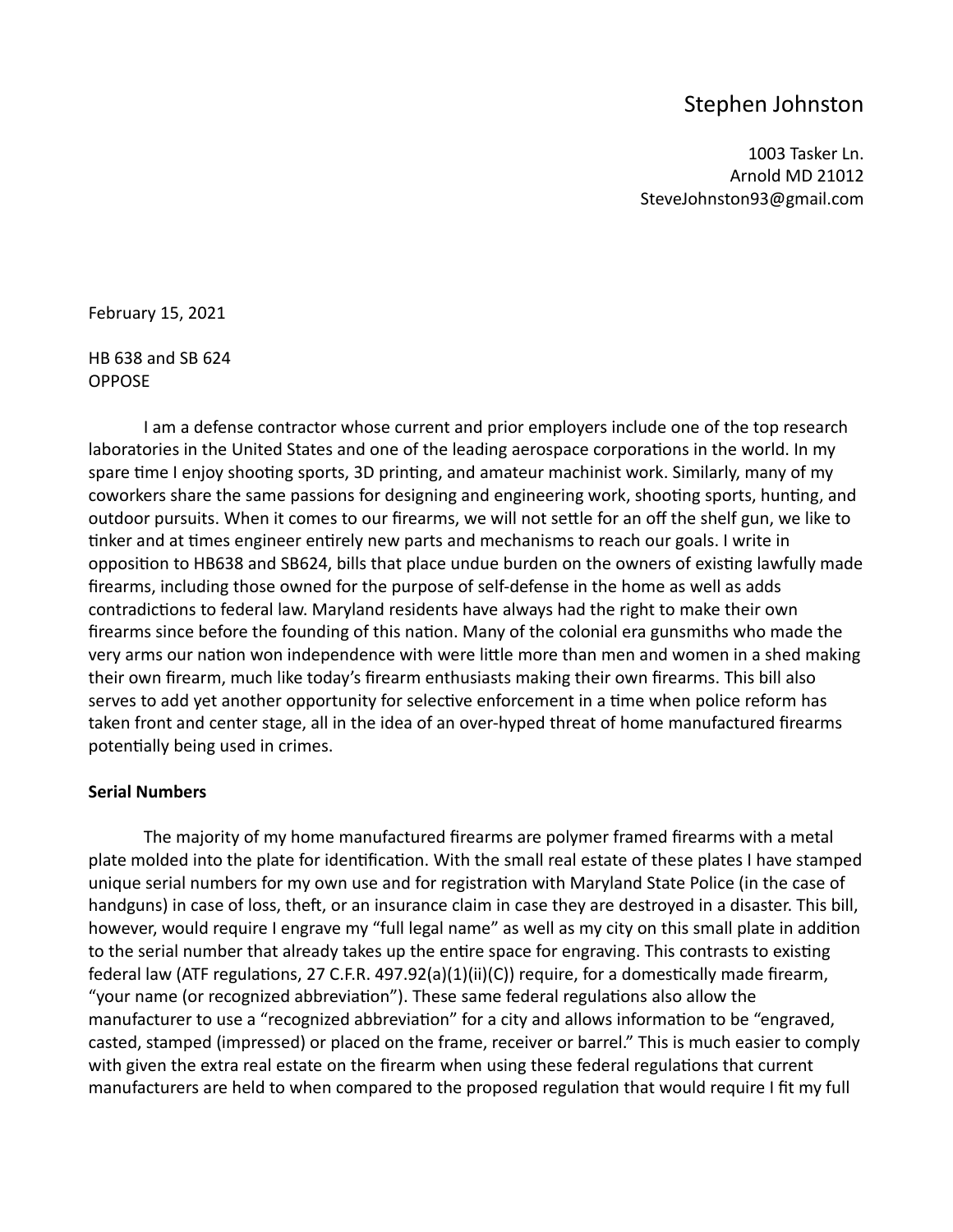# Stephen Johnston

1003 Tasker Ln. Arnold MD 21012 SteveJohnston93@gmail.com

February 15, 2021

HB 638 and SB 624 OPPOSE

I am a defense contractor whose current and prior employers include one of the top research laboratories in the United States and one of the leading aerospace corporations in the world. In my spare time I enjoy shooting sports, 3D printing, and amateur machinist work. Similarly, many of my coworkers share the same passions for designing and engineering work, shooting sports, hunting, and outdoor pursuits. When it comes to our firearms, we will not settle for an off the shelf gun, we like to tinker and at times engineer entirely new parts and mechanisms to reach our goals. I write in opposition to HB638 and SB624, bills that place undue burden on the owners of existing lawfully made firearms, including those owned for the purpose of self-defense in the home as well as adds contradictions to federal law. Maryland residents have always had the right to make their own firearms since before the founding of this nation. Many of the colonial era gunsmiths who made the very arms our nation won independence with were little more than men and women in a shed making their own firearm, much like today's firearm enthusiasts making their own firearms. This bill also serves to add yet another opportunity for selective enforcement in a time when police reform has taken front and center stage, all in the idea of an over-hyped threat of home manufactured firearms potentially being used in crimes.

## **Serial Numbers**

The majority of my home manufactured firearms are polymer framed firearms with a metal plate molded into the plate for identification. With the small real estate of these plates I have stamped unique serial numbers for my own use and for registration with Maryland State Police (in the case of handguns) in case of loss, theft, or an insurance claim in case they are destroyed in a disaster. This bill, however, would require I engrave my "full legal name" as well as my city on this small plate in addition to the serial number that already takes up the entire space for engraving. This contrasts to existing federal law (ATF regulations, 27 C.F.R. 497.92(a)(1)(ii)(C)) require, for a domestically made firearm, "your name (or recognized abbreviation"). These same federal regulations also allow the manufacturer to use a "recognized abbreviation" for a city and allows information to be "engraved, casted, stamped (impressed) or placed on the frame, receiver or barrel." This is much easier to comply with given the extra real estate on the firearm when using these federal regulations that current manufacturers are held to when compared to the proposed regulation that would require I fit my full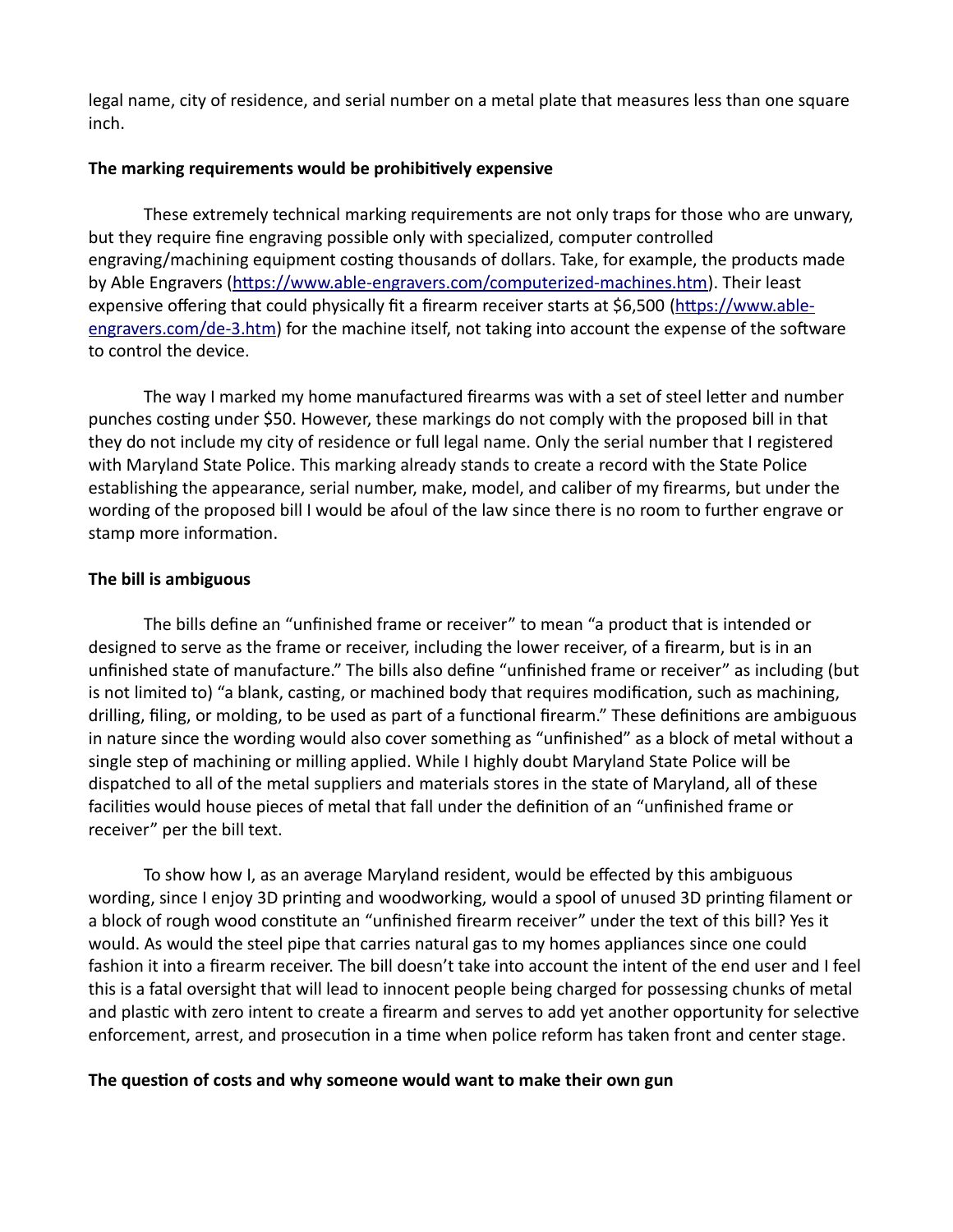legal name, city of residence, and serial number on a metal plate that measures less than one square inch.

#### **The marking requirements would be prohibitively expensive**

These extremely technical marking requirements are not only traps for those who are unwary, but they require fine engraving possible only with specialized, computer controlled engraving/machining equipment costing thousands of dollars. Take, for example, the products made by Able Engravers [\(https://www.able-engravers.com/computerized-machines.htm\)](https://www.able-engravers.com/computerized-machines.htm). Their least expensive offering that could physically fit a firearm receiver starts at \$6,500 [\(https://www.able](https://www.able-engravers.com/de-3.htm)[engravers.com/de-3.htm\)](https://www.able-engravers.com/de-3.htm) for the machine itself, not taking into account the expense of the software to control the device.

The way I marked my home manufactured firearms was with a set of steel letter and number punches costing under \$50. However, these markings do not comply with the proposed bill in that they do not include my city of residence or full legal name. Only the serial number that I registered with Maryland State Police. This marking already stands to create a record with the State Police establishing the appearance, serial number, make, model, and caliber of my firearms, but under the wording of the proposed bill I would be afoul of the law since there is no room to further engrave or stamp more information.

## **The bill is ambiguous**

The bills define an "unfinished frame or receiver" to mean "a product that is intended or designed to serve as the frame or receiver, including the lower receiver, of a firearm, but is in an unfinished state of manufacture." The bills also define "unfinished frame or receiver" as including (but is not limited to) "a blank, casting, or machined body that requires modification, such as machining, drilling, filing, or molding, to be used as part of a functional firearm." These definitions are ambiguous in nature since the wording would also cover something as "unfinished" as a block of metal without a single step of machining or milling applied. While I highly doubt Maryland State Police will be dispatched to all of the metal suppliers and materials stores in the state of Maryland, all of these facilities would house pieces of metal that fall under the definition of an "unfinished frame or receiver" per the bill text.

To show how I, as an average Maryland resident, would be effected by this ambiguous wording, since I enjoy 3D printing and woodworking, would a spool of unused 3D printing filament or a block of rough wood constitute an "unfinished firearm receiver" under the text of this bill? Yes it would. As would the steel pipe that carries natural gas to my homes appliances since one could fashion it into a firearm receiver. The bill doesn't take into account the intent of the end user and I feel this is a fatal oversight that will lead to innocent people being charged for possessing chunks of metal and plastic with zero intent to create a firearm and serves to add yet another opportunity for selective enforcement, arrest, and prosecution in a time when police reform has taken front and center stage.

## **The question of costs and why someone would want to make their own gun**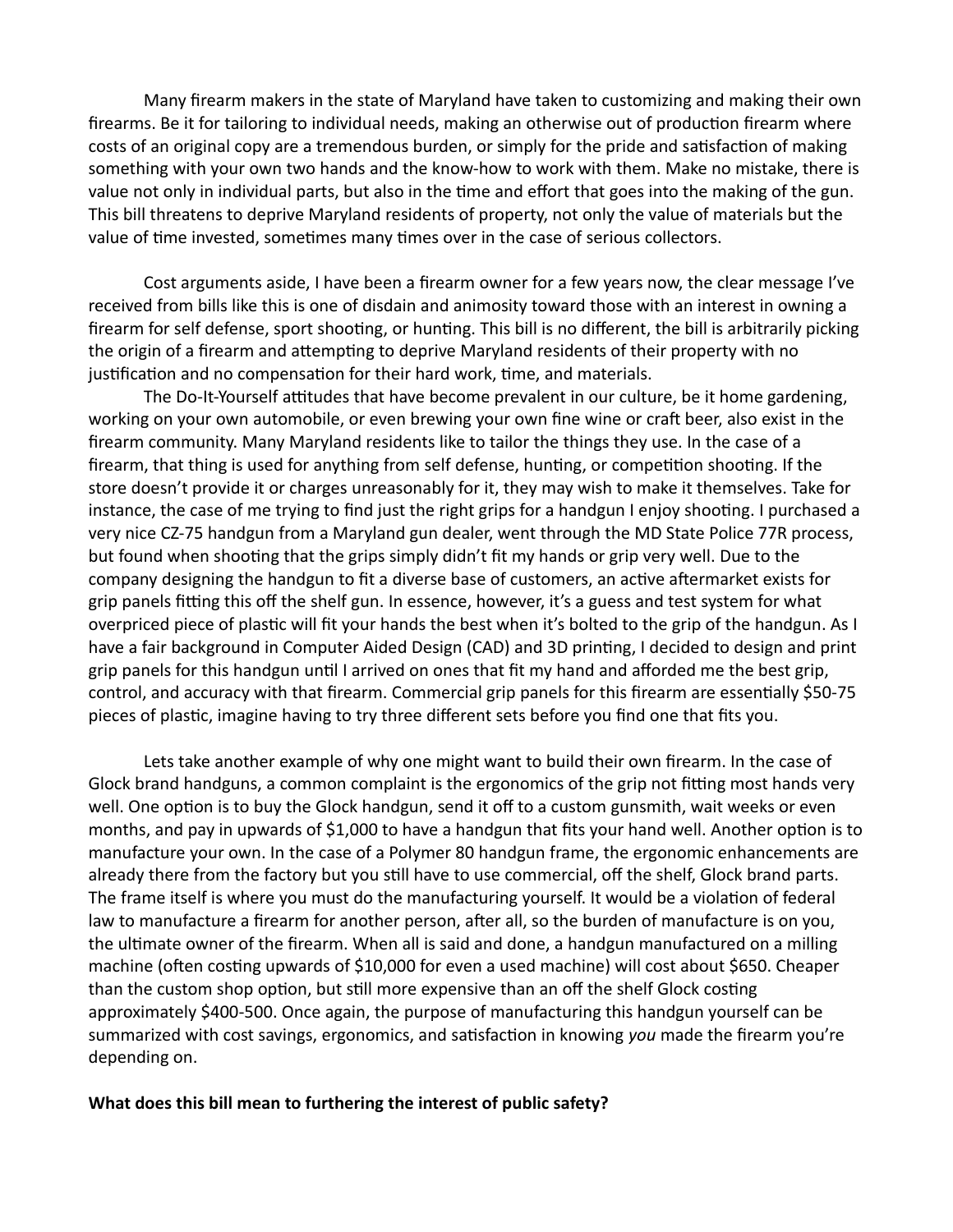Many firearm makers in the state of Maryland have taken to customizing and making their own firearms. Be it for tailoring to individual needs, making an otherwise out of production firearm where costs of an original copy are a tremendous burden, or simply for the pride and satisfaction of making something with your own two hands and the know-how to work with them. Make no mistake, there is value not only in individual parts, but also in the time and effort that goes into the making of the gun. This bill threatens to deprive Maryland residents of property, not only the value of materials but the value of time invested, sometimes many times over in the case of serious collectors.

Cost arguments aside, I have been a firearm owner for a few years now, the clear message I've received from bills like this is one of disdain and animosity toward those with an interest in owning a firearm for self defense, sport shooting, or hunting. This bill is no different, the bill is arbitrarily picking the origin of a firearm and attempting to deprive Maryland residents of their property with no justification and no compensation for their hard work, time, and materials.

The Do-It-Yourself attitudes that have become prevalent in our culture, be it home gardening, working on your own automobile, or even brewing your own fine wine or craft beer, also exist in the firearm community. Many Maryland residents like to tailor the things they use. In the case of a firearm, that thing is used for anything from self defense, hunting, or competition shooting. If the store doesn't provide it or charges unreasonably for it, they may wish to make it themselves. Take for instance, the case of me trying to find just the right grips for a handgun I enjoy shooting. I purchased a very nice CZ-75 handgun from a Maryland gun dealer, went through the MD State Police 77R process, but found when shooting that the grips simply didn't fit my hands or grip very well. Due to the company designing the handgun to fit a diverse base of customers, an active aftermarket exists for grip panels fitting this off the shelf gun. In essence, however, it's a guess and test system for what overpriced piece of plastic will fit your hands the best when it's bolted to the grip of the handgun. As I have a fair background in Computer Aided Design (CAD) and 3D printing, I decided to design and print grip panels for this handgun until I arrived on ones that fit my hand and afforded me the best grip, control, and accuracy with that firearm. Commercial grip panels for this firearm are essentially \$50-75 pieces of plastic, imagine having to try three different sets before you find one that fits you.

Lets take another example of why one might want to build their own firearm. In the case of Glock brand handguns, a common complaint is the ergonomics of the grip not fitting most hands very well. One option is to buy the Glock handgun, send it off to a custom gunsmith, wait weeks or even months, and pay in upwards of \$1,000 to have a handgun that fits your hand well. Another option is to manufacture your own. In the case of a Polymer 80 handgun frame, the ergonomic enhancements are already there from the factory but you still have to use commercial, off the shelf, Glock brand parts. The frame itself is where you must do the manufacturing yourself. It would be a violation of federal law to manufacture a firearm for another person, after all, so the burden of manufacture is on you, the ultimate owner of the firearm. When all is said and done, a handgun manufactured on a milling machine (often costing upwards of \$10,000 for even a used machine) will cost about \$650. Cheaper than the custom shop option, but still more expensive than an off the shelf Glock costing approximately \$400-500. Once again, the purpose of manufacturing this handgun yourself can be summarized with cost savings, ergonomics, and satisfaction in knowing *you* made the firearm you're depending on.

#### **What does this bill mean to furthering the interest of public safety?**